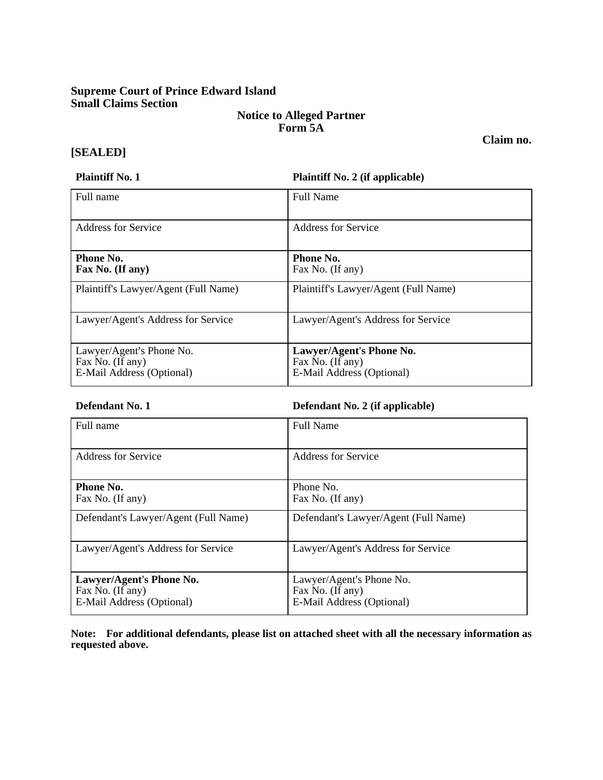## **Supreme Court of Prince Edward Island Small Claims Section**

## **Notice to Alleged Partner Form 5A**

**[SEALED]** 

**Plaintiff No. 1 Plaintiff No. 2 (if applicable)**

| Full name                                                                 | <b>Full Name</b>                                                          |
|---------------------------------------------------------------------------|---------------------------------------------------------------------------|
| <b>Address for Service</b>                                                | <b>Address for Service</b>                                                |
| <b>Phone No.</b><br>Fax No. (If any)                                      | Phone No.<br>Fax No. (If any)                                             |
| Plaintiff's Lawyer/Agent (Full Name)                                      | Plaintiff's Lawyer/Agent (Full Name)                                      |
| Lawyer/Agent's Address for Service                                        | Lawyer/Agent's Address for Service                                        |
| Lawyer/Agent's Phone No.<br>Fax No. (If any)<br>E-Mail Address (Optional) | Lawyer/Agent's Phone No.<br>Fax No. (If any)<br>E-Mail Address (Optional) |

**Defendant No. 1 Defendant No. 2 (if applicable)**

| Full name                                                                 | <b>Full Name</b>                                                          |
|---------------------------------------------------------------------------|---------------------------------------------------------------------------|
| <b>Address for Service</b>                                                | <b>Address for Service</b>                                                |
| Phone No.<br>Fax No. (If any)                                             | Phone No.<br>Fax No. (If any)                                             |
| Defendant's Lawyer/Agent (Full Name)                                      | Defendant's Lawyer/Agent (Full Name)                                      |
| Lawyer/Agent's Address for Service                                        | Lawyer/Agent's Address for Service                                        |
| Lawyer/Agent's Phone No.<br>Fax No. (If any)<br>E-Mail Address (Optional) | Lawyer/Agent's Phone No.<br>Fax No. (If any)<br>E-Mail Address (Optional) |

**Note: For additional defendants, please list on attached sheet with all the necessary information as requested above.** 

**Claim no.**